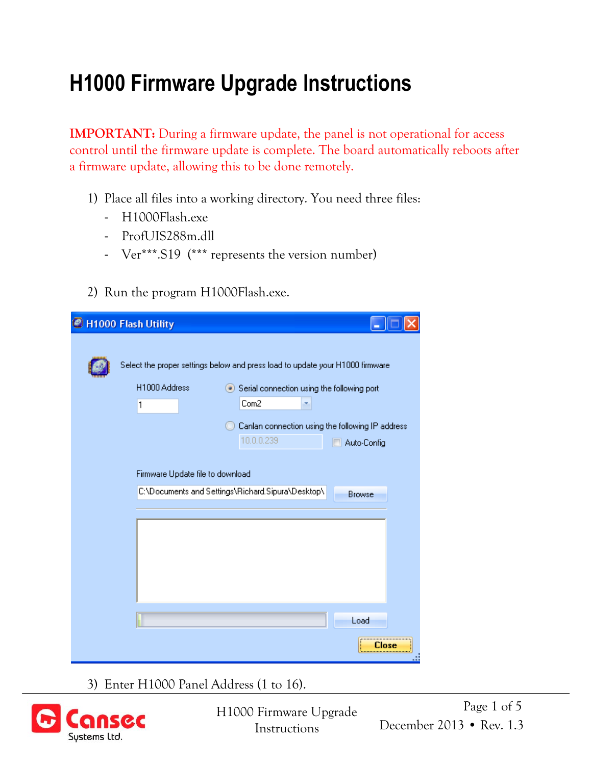## **H1000 Firmware Upgrade Instructions**

**IMPORTANT:** During a firmware update, the panel is not operational for access control until the firmware update is complete. The board automatically reboots after a firmware update, allowing this to be done remotely.

- 1) Place all files into a working directory. You need three files:
	- H1000Flash.exe
	- ProfUIS288m.dll
	- Ver\*\*\*.S19 (\*\*\* represents the version number)
- 2) Run the program H1000Flash.exe.

| H1000 Flash Utility                                                                                                                                                                                                                        |
|--------------------------------------------------------------------------------------------------------------------------------------------------------------------------------------------------------------------------------------------|
| Select the proper settings below and press load to update your H1000 firmware<br>H1000 Address<br>Serial connection using the following port<br>Com2<br>1<br>Canlan connection using the following IP address<br>10.0.0.239<br>Auto-Config |
| Firmware Update file to download<br>C:\Documents and Settings\Richard.Sipura\Desktop\<br><b>Browse</b>                                                                                                                                     |
|                                                                                                                                                                                                                                            |
|                                                                                                                                                                                                                                            |
| Load                                                                                                                                                                                                                                       |
| Close                                                                                                                                                                                                                                      |

3) Enter H1000 Panel Address (1 to 16).



Page 1 of 5 H1000 Firmware Upgrade Instructions December 2013 • Rev. 1.3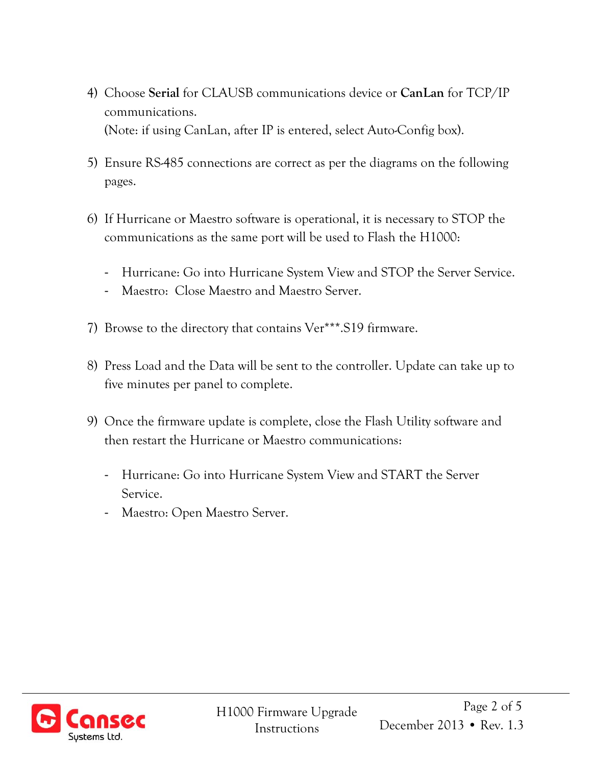- 4) Choose **Serial** for CLAUSB communications device or **CanLan** for TCP/IP communications. (Note: if using CanLan, after IP is entered, select Auto-Config box).
- 5) Ensure RS-485 connections are correct as per the diagrams on the following pages.
- 6) If Hurricane or Maestro software is operational, it is necessary to STOP the communications as the same port will be used to Flash the H1000:
	- Hurricane: Go into Hurricane System View and STOP the Server Service.
	- Maestro: Close Maestro and Maestro Server.
- 7) Browse to the directory that contains Ver\*\*\*.S19 firmware.
- 8) Press Load and the Data will be sent to the controller. Update can take up to five minutes per panel to complete.
- 9) Once the firmware update is complete, close the Flash Utility software and then restart the Hurricane or Maestro communications:
	- Hurricane: Go into Hurricane System View and START the Server Service.
	- Maestro: Open Maestro Server.

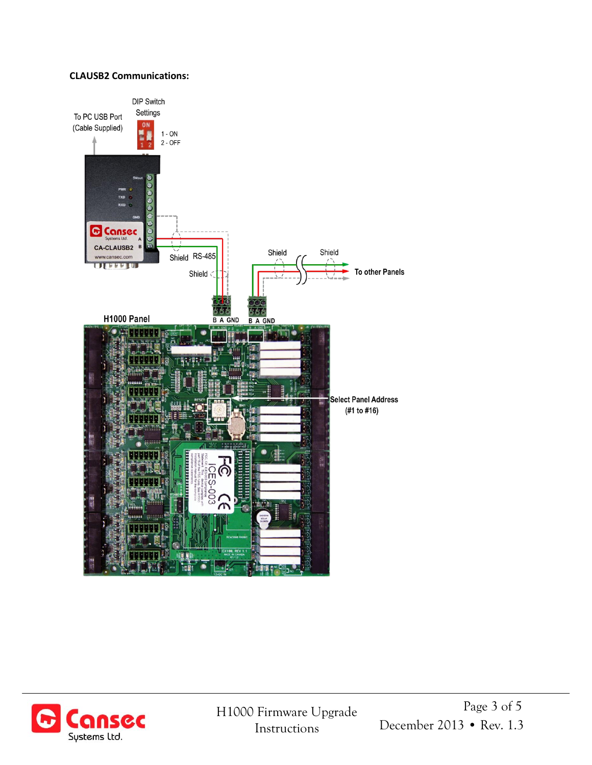## **CLAUSB2 Communications:**



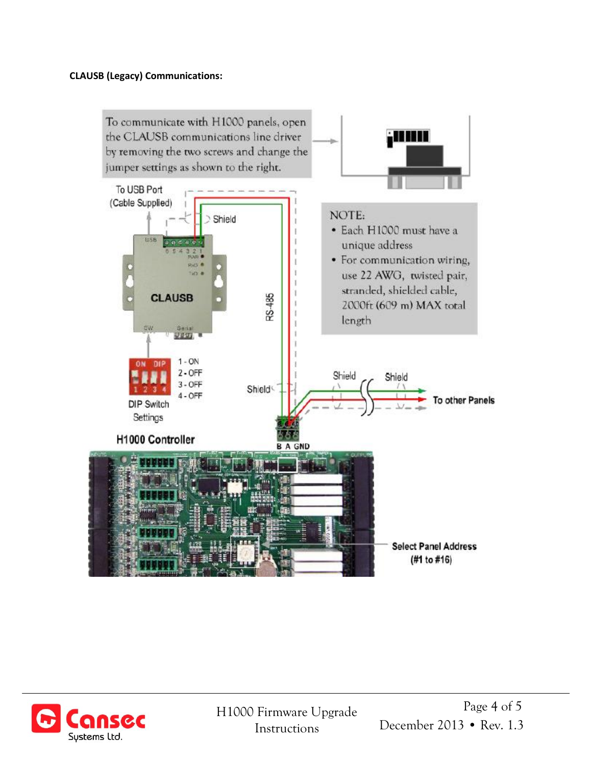